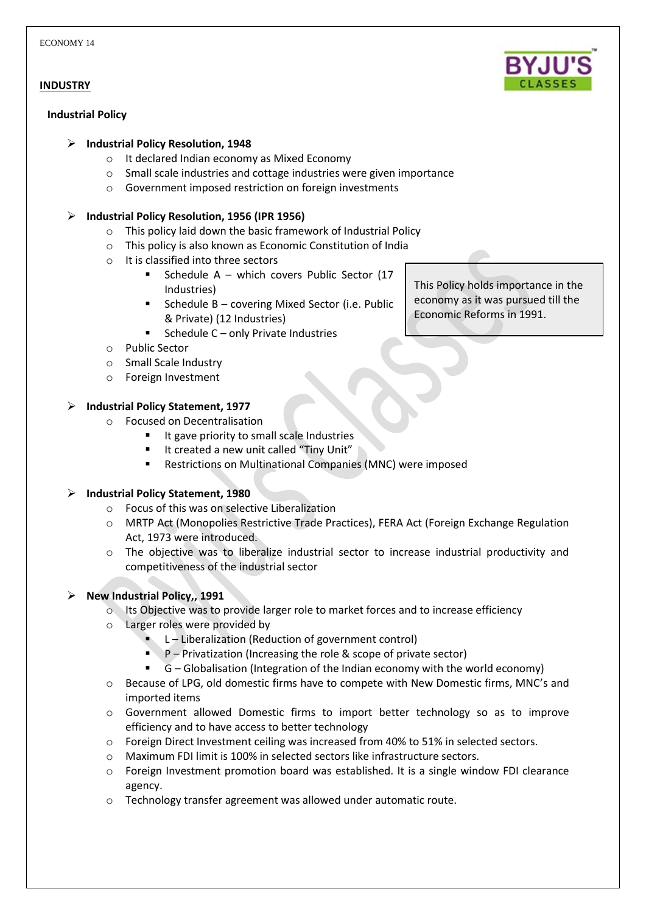## **INDUSTRY**

### **Industrial Policy**

## **Industrial Policy Resolution, 1948**

- o It declared Indian economy as Mixed Economy
- o Small scale industries and cottage industries were given importance
- o Government imposed restriction on foreign investments

## **Industrial Policy Resolution, 1956 (IPR 1956)**

- o This policy laid down the basic framework of Industrial Policy
- o This policy is also known as Economic Constitution of India
- o It is classified into three sectors
	- Schedule A which covers Public Sector (17 Industries)
	- Schedule B covering Mixed Sector (i.e. Public & Private) (12 Industries)
	- Schedule  $C$  only Private Industries
- o Public Sector
- o Small Scale Industry
- o Foreign Investment

# **Industrial Policy Statement, 1977**

- o Focused on Decentralisation
	- $I$  It gave priority to small scale Industries
	- It created a new unit called "Tiny Unit"
	- Restrictions on Multinational Companies (MNC) were imposed

# **Industrial Policy Statement, 1980**

- o Focus of this was on selective Liberalization
- o MRTP Act (Monopolies Restrictive Trade Practices), FERA Act (Foreign Exchange Regulation Act, 1973 were introduced.
- o The objective was to liberalize industrial sector to increase industrial productivity and competitiveness of the industrial sector

# **New Industrial Policy,, 1991**

- o Its Objective was to provide larger role to market forces and to increase efficiency
- o Larger roles were provided by
	- L Liberalization (Reduction of government control)
	- $P -$  Privatization (Increasing the role & scope of private sector)
	- $\overline{G}$  Globalisation (Integration of the Indian economy with the world economy)
- o Because of LPG, old domestic firms have to compete with New Domestic firms, MNC's and imported items
- $\circ$  Government allowed Domestic firms to import better technology so as to improve efficiency and to have access to better technology
- o Foreign Direct Investment ceiling was increased from 40% to 51% in selected sectors.
- o Maximum FDI limit is 100% in selected sectors like infrastructure sectors.
- o Foreign Investment promotion board was established. It is a single window FDI clearance agency.
- o Technology transfer agreement was allowed under automatic route.

This Policy holds importance in the economy as it was pursued till the Economic Reforms in 1991.

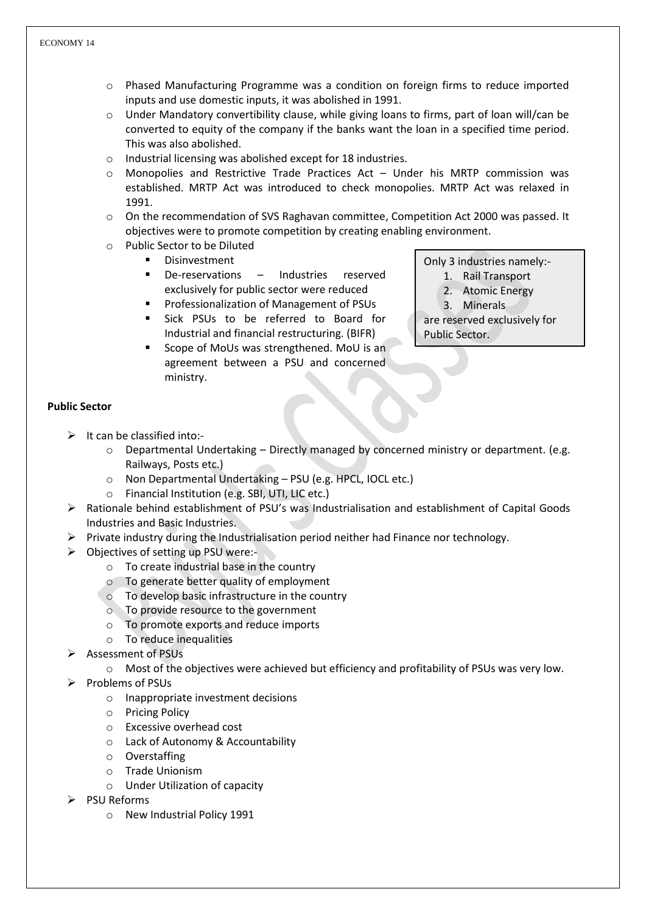- o Phased Manufacturing Programme was a condition on foreign firms to reduce imported inputs and use domestic inputs, it was abolished in 1991.
- $\circ$  Under Mandatory convertibility clause, while giving loans to firms, part of loan will/can be converted to equity of the company if the banks want the loan in a specified time period. This was also abolished.
- o Industrial licensing was abolished except for 18 industries.
- o Monopolies and Restrictive Trade Practices Act Under his MRTP commission was established. MRTP Act was introduced to check monopolies. MRTP Act was relaxed in 1991.
- o On the recommendation of SVS Raghavan committee, Competition Act 2000 was passed. It objectives were to promote competition by creating enabling environment.
- o Public Sector to be Diluted
	- Disinvestment
	- De-reservations Industries reserved exclusively for public sector were reduced
	- **Professionalization of Management of PSUs**
	- **Sick PSUs to be referred to Board for** Industrial and financial restructuring. (BIFR)
	- Scope of MoUs was strengthened. MoU is an agreement between a PSU and concerned ministry.

Only 3 industries namely:-

- 1. Rail Transport
- 2. Atomic Energy
- 3. Minerals

are reserved exclusively for Public Sector.

# **Public Sector**

- $\triangleright$  It can be classified into:
	- o Departmental Undertaking Directly managed by concerned ministry or department. (e.g. Railways, Posts etc.)
	- o Non Departmental Undertaking PSU (e.g. HPCL, IOCL etc.)
	- o Financial Institution (e.g. SBI, UTI, LIC etc.)
- $\triangleright$  Rationale behind establishment of PSU's was Industrialisation and establishment of Capital Goods Industries and Basic Industries.
- $\triangleright$  Private industry during the Industrialisation period neither had Finance nor technology.
- $\triangleright$  Objectives of setting up PSU were:
	- o To create industrial base in the country
	- o To generate better quality of employment
	- o To develop basic infrastructure in the country
	- o To provide resource to the government
	- o To promote exports and reduce imports
	- $\circ$  To reduce inequalities
- Assessment of PSUs
	- $\circ$  Most of the objectives were achieved but efficiency and profitability of PSUs was very low.
- $\triangleright$  Problems of PSUs
	- o Inappropriate investment decisions
	- o Pricing Policy
	- o Excessive overhead cost
	- o Lack of Autonomy & Accountability
	- o Overstaffing
	- o Trade Unionism
	- o Under Utilization of capacity
- $\triangleright$  PSU Reforms
	- o New Industrial Policy 1991